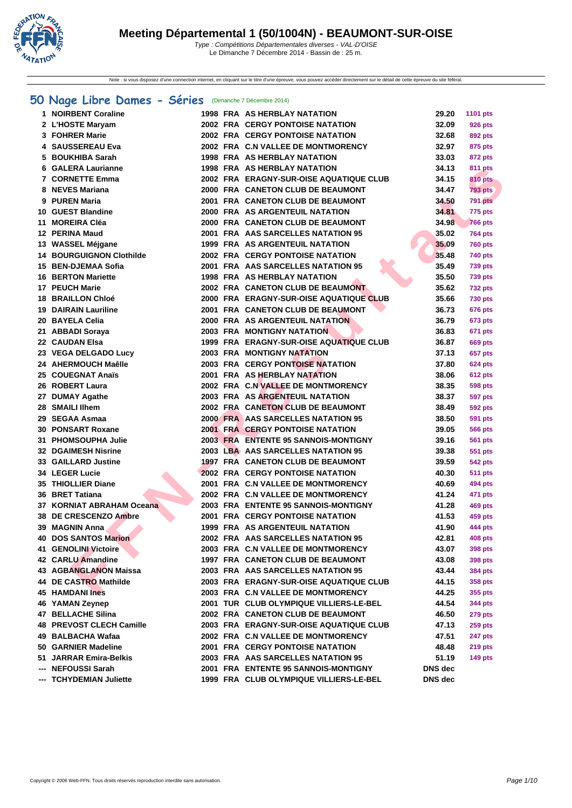

Note : si vous disposez d'une connection internet, en cliquant sur le titre d'une épreuve, vous pouvez accéder directement sur le détail de cette épreuve du site féféral.

## **[50 Na](http://www.ffnatation.fr/webffn/index.php)ge Libre Dames - Séries** (Dimanche 7 Décembre 2014)

| 1 NOIRBENT Coraline             |  | <b>1998 FRA AS HERBLAY NATATION</b>      | 29.20          | 1101 pts                  |
|---------------------------------|--|------------------------------------------|----------------|---------------------------|
| 2 L'HOSTE Maryam                |  | <b>2002 FRA CERGY PONTOISE NATATION</b>  | 32.09          | <b>926 pts</b>            |
| 3 FOHRER Marie                  |  | <b>2002 FRA CERGY PONTOISE NATATION</b>  | 32.68          | 892 pts                   |
| 4 SAUSSEREAU Eva                |  | 2002 FRA C.N VALLEE DE MONTMORENCY       | 32.97          | 875 pts                   |
| 5 BOUKHIBA Sarah                |  | <b>1998 FRA AS HERBLAY NATATION</b>      | 33.03          | 872 pts                   |
| 6 GALERA Laurianne              |  | 1998 FRA AS HERBLAY NATATION             | 34.13          | 811 pts                   |
| <b>7 CORNETTE Emma</b>          |  | 2002 FRA ERAGNY-SUR-OISE AQUATIQUE CLUB  | 34.15          | 810 pts                   |
| 8 NEVES Mariana                 |  | 2000 FRA CANETON CLUB DE BEAUMONT        | 34.47          | <b>793 pts</b>            |
| 9 PUREN Maria                   |  | 2001 FRA CANETON CLUB DE BEAUMONT        | 34.50          | <b>791 pts</b>            |
| 10 GUEST Blandine               |  | 2000 FRA AS ARGENTEUIL NATATION          | 34.81          | <b>775 pts</b>            |
| 11 MOREIRA Cléa                 |  | 2000 FRA CANETON CLUB DE BEAUMONT        | 34.98          | <b>766 pts</b>            |
| 12 PERINA Maud                  |  | 2001 FRA AAS SARCELLES NATATION 95       | 35.02          | <b>764 pts</b>            |
| 13 WASSEL Méjgane               |  | 1999 FRA AS ARGENTEUIL NATATION          | 35.09          | <b>760 pts</b>            |
| <b>14 BOURGUIGNON Clothilde</b> |  | <b>2002 FRA CERGY PONTOISE NATATION</b>  | 35.48          | 740 pts                   |
| 15 BEN-DJEMAA Sofia             |  | 2001 FRA AAS SARCELLES NATATION 95       | 35.49          | <b>739 pts</b>            |
| <b>16 BERTON Mariette</b>       |  | <b>1998 FRA AS HERBLAY NATATION</b>      | 35.50          | <b>739 pts</b>            |
| 17 PEUCH Marie                  |  | 2002 FRA CANETON CLUB DE BEAUMONT        | 35.62          | <b>732 pts</b>            |
| <b>18 BRAILLON Chloé</b>        |  | 2000 FRA ERAGNY-SUR-OISE AQUATIQUE CLUB  | 35.66          | <b>730 pts</b>            |
| <b>19 DAIRAIN Lauriline</b>     |  | 2001 FRA CANETON CLUB DE BEAUMONT        | 36.73          | <b>676 pts</b>            |
| 20 BAYELA Celia                 |  | 2000 FRA AS ARGENTEUIL NATATION          | 36.79          | <b>673 pts</b>            |
| 21 ABBADI Soraya                |  | <b>2003 FRA MONTIGNY NATATION</b>        | 36.83          | <b>671 pts</b>            |
| 22 CAUDAN Elsa                  |  | 1999 FRA ERAGNY-SUR-OISE AQUATIQUE CLUB  | 36.87          | <b>669 pts</b>            |
| 23 VEGA DELGADO Lucy            |  | <b>2003 FRA MONTIGNY NATATION</b>        | 37.13          | 657 pts                   |
| 24 AHERMOUCH Maêlle             |  | <b>2003 FRA CERGY PONTOISE NATATION</b>  | 37.80          | <b>624 pts</b>            |
| 25 COUEGNAT Anaïs               |  | <b>2001 FRA AS HERBLAY NATATION</b>      | 38.06          | <b>612 pts</b>            |
| 26 ROBERT Laura                 |  | 2002 FRA C.N VALLEE DE MONTMORENCY       | 38.35          | <b>598 pts</b>            |
| 27 DUMAY Agathe                 |  | 2003 FRA AS ARGENTEUIL NATATION          | 38.37          | <b>597 pts</b>            |
| 28 SMAILI IIhem                 |  | 2002 FRA CANETON CLUB DE BEAUMONT        | 38.49          | <b>592 pts</b>            |
| 29 SEGAA Asmaa                  |  | 2000 FRA AAS SARCELLES NATATION 95       | 38.50          | <b>591 pts</b>            |
| <b>30 PONSART Roxane</b>        |  | <b>2001 FRA CERGY PONTOISE NATATION</b>  | 39.05          | <b>566 pts</b>            |
| 31 PHOMSOUPHA Julie             |  | 2003 FRA ENTENTE 95 SANNOIS-MONTIGNY     | 39.16          | <b>561 pts</b>            |
| <b>32 DGAIMESH Nisrine</b>      |  | 2003 LBA AAS SARCELLES NATATION 95       | 39.38          | 551 pts                   |
| <b>33 GAILLARD Justine</b>      |  | <b>1997 FRA CANETON CLUB DE BEAUMONT</b> | 39.59          | <b>542 pts</b>            |
| 34 LEGER Lucie                  |  | <b>2002 FRA CERGY PONTOISE NATATION</b>  | 40.30          | <b>511 pts</b>            |
| 35 THIOLLIER Diane              |  | 2001 FRA C.N VALLEE DE MONTMORENCY       | 40.69          | 494 pts                   |
| 36 BRET Tatiana                 |  | 2002 FRA C.N VALLEE DE MONTMORENCY       | 41.24          |                           |
| 37 KORNIAT ABRAHAM Oceana       |  | 2003 FRA ENTENTE 95 SANNOIS-MONTIGNY     | 41.28          | 471 pts                   |
| 38 DE CRESCENZO Ambre           |  | <b>2001 FRA CERGY PONTOISE NATATION</b>  | 41.53          | <b>469 pts</b>            |
| 39 MAGNIN Anna                  |  | <b>1999 FRA AS ARGENTEUIL NATATION</b>   | 41.90          | 459 pts                   |
|                                 |  | 2002 FRA AAS SARCELLES NATATION 95       | 42.81          | 444 pts<br><b>408 pts</b> |
| <b>40 DOS SANTOS Marion</b>     |  | 2003 FRA C.N VALLEE DE MONTMORENCY       |                |                           |
| 41 GENOLINI Victoire            |  | 1997 FRA CANETON CLUB DE BEAUMONT        | 43.07          | <b>398 pts</b>            |
| 42 CARLU Amandine               |  |                                          | 43.08          | 398 pts                   |
| <b>43 AGBANGLANON Maissa</b>    |  | 2003 FRA AAS SARCELLES NATATION 95       | 43.44          | <b>384 pts</b>            |
| 44 DE CASTRO Mathilde           |  | 2003 FRA ERAGNY-SUR-OISE AQUATIQUE CLUB  | 44.15          | 358 pts                   |
| 45 HAMDANI Ines                 |  | 2003 FRA C.N VALLEE DE MONTMORENCY       | 44.25          | 355 pts                   |
| 46 YAMAN Zeynep                 |  | 2001 TUR CLUB OLYMPIQUE VILLIERS-LE-BEL  | 44.54          | 344 pts                   |
| <b>47 BELLACHE Silina</b>       |  | 2002 FRA CANETON CLUB DE BEAUMONT        | 46.50          | <b>279 pts</b>            |
| <b>48 PREVOST CLECH Camille</b> |  | 2003 FRA ERAGNY-SUR-OISE AQUATIQUE CLUB  | 47.13          | <b>259 pts</b>            |
| 49 BALBACHA Wafaa               |  | 2002 FRA C.N VALLEE DE MONTMORENCY       | 47.51          | <b>247 pts</b>            |
| 50 GARNIER Madeline             |  | 2001 FRA CERGY PONTOISE NATATION         | 48.48          | <b>219 pts</b>            |
| 51 JARRAR Emira-Belkis          |  | 2003 FRA AAS SARCELLES NATATION 95       | 51.19          | <b>149 pts</b>            |
| --- NEFOUSSI Sarah              |  | 2001 FRA ENTENTE 95 SANNOIS-MONTIGNY     | DNS dec        |                           |
| --- TCHYDEMIAN Juliette         |  | 1999 FRA CLUB OLYMPIQUE VILLIERS-LE-BEL  | <b>DNS</b> dec |                           |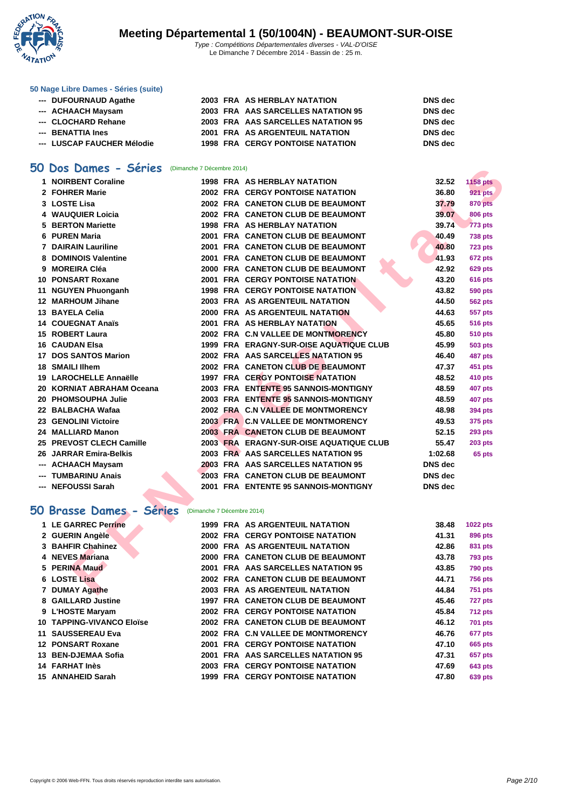

#### **[50 Nage L](http://www.ffnatation.fr/webffn/index.php)ibre Dames - Séries (suite)**

| --- DUFOURNAUD Agathe      |  | 2003 FRA AS HERBLAY NATATION            | <b>DNS</b> dec |
|----------------------------|--|-----------------------------------------|----------------|
| --- ACHAACH Maysam         |  | 2003 FRA AAS SARCELLES NATATION 95      | <b>DNS</b> dec |
| --- CLOCHARD Rehane        |  | 2003 FRA AAS SARCELLES NATATION 95      | <b>DNS</b> dec |
| --- BENATTIA Ines          |  | 2001 FRA AS ARGENTEUIL NATATION         | <b>DNS</b> dec |
| --- LUSCAP FAUCHER Mélodie |  | <b>1998 FRA CERGY PONTOISE NATATION</b> | DNS dec        |

## **50 Dos Dames - Séries** (Dimanche 7 Décembre 2014)

| טכ | Dos Dames - Series        | (Dimanche 7 Décembre 2014) |                                         |                |                 |
|----|---------------------------|----------------------------|-----------------------------------------|----------------|-----------------|
|    | 1 NOIRBENT Coraline       |                            | <b>1998 FRA AS HERBLAY NATATION</b>     | 32.52          | <b>1158 pts</b> |
|    | 2 FOHRER Marie            |                            | <b>2002 FRA CERGY PONTOISE NATATION</b> | 36.80          | <b>921 pts</b>  |
|    | 3 LOSTE Lisa              |                            | 2002 FRA CANETON CLUB DE BEAUMONT       | 37.79          | <b>870 pts</b>  |
|    | 4 WAUQUIER Loicia         |                            | 2002 FRA CANETON CLUB DE BEAUMONT       | 39.07          | 806 pts         |
| 5  | <b>BERTON Mariette</b>    |                            | <b>1998 FRA AS HERBLAY NATATION</b>     | 39.74          | 773 pts         |
|    | 6 PUREN Maria             |                            | 2001 FRA CANETON CLUB DE BEAUMONT       | 40.49          | <b>738 pts</b>  |
| 7  | <b>DAIRAIN Lauriline</b>  |                            | 2001 FRA CANETON CLUB DE BEAUMONT       | 40.80          | <b>723 pts</b>  |
|    | 8 DOMINOIS Valentine      |                            | 2001 FRA CANETON CLUB DE BEAUMONT       | 41.93          | 672 pts         |
|    | 9 MOREIRA Cléa            |                            | 2000 FRA CANETON CLUB DE BEAUMONT       | 42.92          | <b>629 pts</b>  |
| 10 | <b>PONSART Roxane</b>     |                            | <b>2001 FRA CERGY PONTOISE NATATION</b> | 43.20          | <b>616 pts</b>  |
| 11 | <b>NGUYEN Phuonganh</b>   |                            | <b>1998 FRA CERGY PONTOISE NATATION</b> | 43.82          | 590 pts         |
|    | 12 MARHOUM Jihane         |                            | 2003 FRA AS ARGENTEUIL NATATION         | 44.50          | 562 pts         |
|    | 13 BAYELA Celia           |                            | 2000 FRA AS ARGENTEUIL NATATION         | 44.63          | <b>557 pts</b>  |
|    | 14 COUEGNAT Anaïs         |                            | 2001 FRA AS HERBLAY NATATION            | 45.65          | 516 pts         |
|    | 15 ROBERT Laura           |                            | 2002 FRA C.N VALLEE DE MONTMORENCY      | 45.80          | 510 pts         |
|    | <b>16 CAUDAN Elsa</b>     |                            | 1999 FRA ERAGNY-SUR-OISE AQUATIQUE CLUB | 45.99          | 503 pts         |
| 17 | <b>DOS SANTOS Marion</b>  |                            | 2002 FRA AAS SARCELLES NATATION 95      | 46.40          | 487 pts         |
|    | 18 SMAILI lihem           |                            | 2002 FRA CANETON CLUB DE BEAUMONT       | 47.37          | 451 pts         |
|    | 19 LAROCHELLE Annaëlle    |                            | <b>1997 FRA CERGY PONTOISE NATATION</b> | 48.52          | 410 pts         |
|    | 20 KORNIAT ABRAHAM Oceana |                            | 2003 FRA ENTENTE 95 SANNOIS-MONTIGNY    | 48.59          | 407 pts         |
|    | 20 PHOMSOUPHA Julie       |                            | 2003 FRA ENTENTE 95 SANNOIS-MONTIGNY    | 48.59          | 407 pts         |
|    | 22 BALBACHA Wafaa         |                            | 2002 FRA C.N VALLEE DE MONTMORENCY      | 48.98          | 394 pts         |
|    | 23 GENOLINI Victoire      |                            | 2003 FRA C.N VALLEE DE MONTMORENCY      | 49.53          | 375 pts         |
|    | 24 MALLIARD Manon         |                            | 2003 FRA CANETON CLUB DE BEAUMONT       | 52.15          | 293 pts         |
|    | 25 PREVOST CLECH Camille  |                            | 2003 FRA ERAGNY-SUR-OISE AQUATIQUE CLUB | 55.47          | <b>203 pts</b>  |
|    | 26 JARRAR Emira-Belkis    |                            | 2003 FRA AAS SARCELLES NATATION 95      | 1:02.68        | 65 pts          |
|    | --- ACHAACH Maysam        |                            | 2003 FRA AAS SARCELLES NATATION 95      | <b>DNS</b> dec |                 |
|    | <b>TUMBARINU Anais</b>    |                            | 2003 FRA CANETON CLUB DE BEAUMONT       | <b>DNS</b> dec |                 |
|    | <b>NEFOUSSI Sarah</b>     |                            | 2001 FRA ENTENTE 95 SANNOIS-MONTIGNY    | DNS dec        |                 |
|    |                           |                            |                                         |                |                 |
|    | 50 Brasse Dames - Séries  | (Dimanche 7 Décembre 2014) |                                         |                |                 |
|    | 1 LE GARREC Perrine       |                            | <b>1999 FRA AS ARGENTEUIL NATATION</b>  | 38.48          | 1022 pts        |
|    | 2 GUERIN Angèle           |                            | <b>2002 FRA CERGY PONTOISE NATATION</b> | 41.31          | 896 pts         |
|    | 3 BAHFIR Chahinez         |                            | 2000 FRA AS ARGENTEUIL NATATION         | 42.86          | 831 pts         |
|    | 4 NEVES Mariana           |                            | 2000 FRA CANETON CLUB DE BEAUMONT       | 43.78          | <b>793 pts</b>  |
|    | 5 PERINA Maud             |                            | 2001 FRA AAS SARCELLES NATATION 95      | 43.85          | 790 pts         |
|    | <b>6 LOSTE Lisa</b>       |                            | 2002 FRA CANETON CLUB DE BEAUMONT       | 44.71          | <b>756 pts</b>  |
|    | 7 DUMAY Agathe            |                            | 2003 FRA AS ARGENTEUIL NATATION         | 44.84          | 751 pts         |

| 2 GUERIN Angèle           |  | <b>2002 FRA CERGY PONTOISE NATATION</b>  | 41.31 | 896 pts        |
|---------------------------|--|------------------------------------------|-------|----------------|
| 3 BAHFIR Chahinez         |  | 2000 FRA AS ARGENTEUIL NATATION          | 42.86 | 831 pts        |
| 4 NEVES Mariana           |  | 2000 FRA CANETON CLUB DE BEAUMONT        | 43.78 | <b>793 pts</b> |
| 5 PERINA Maud             |  | 2001 FRA AAS SARCELLES NATATION 95       | 43.85 | <b>790 pts</b> |
| 6 LOSTE Lisa              |  | 2002 FRA CANETON CLUB DE BEAUMONT        | 44.71 | <b>756 pts</b> |
| 7 DUMAY Agathe            |  | 2003 FRA AS ARGENTEUIL NATATION          | 44.84 | <b>751 pts</b> |
| 8 GAILLARD Justine        |  | <b>1997 FRA CANETON CLUB DE BEAUMONT</b> | 45.46 | <b>727 pts</b> |
| 9 L'HOSTE Maryam          |  | <b>2002 FRA CERGY PONTOISE NATATION</b>  | 45.84 | <b>712 pts</b> |
| 10 TAPPING-VIVANCO Eloïse |  | 2002 FRA CANETON CLUB DE BEAUMONT        | 46.12 | <b>701 pts</b> |
| 11 SAUSSEREAU Eva         |  | 2002 FRA C.N VALLEE DE MONTMORENCY       | 46.76 | 677 pts        |
| 12 PONSART Roxane         |  | <b>2001 FRA CERGY PONTOISE NATATION</b>  | 47.10 | 665 pts        |
| 13 BEN-DJEMAA Sofia       |  | 2001 FRA AAS SARCELLES NATATION 95       | 47.31 | 657 pts        |
| 14 FARHAT Inès            |  | <b>2003 FRA CERGY PONTOISE NATATION</b>  | 47.69 | <b>643 pts</b> |
| 15 ANNAHEID Sarah         |  | <b>1999 FRA CERGY PONTOISE NATATION</b>  | 47.80 | <b>639 pts</b> |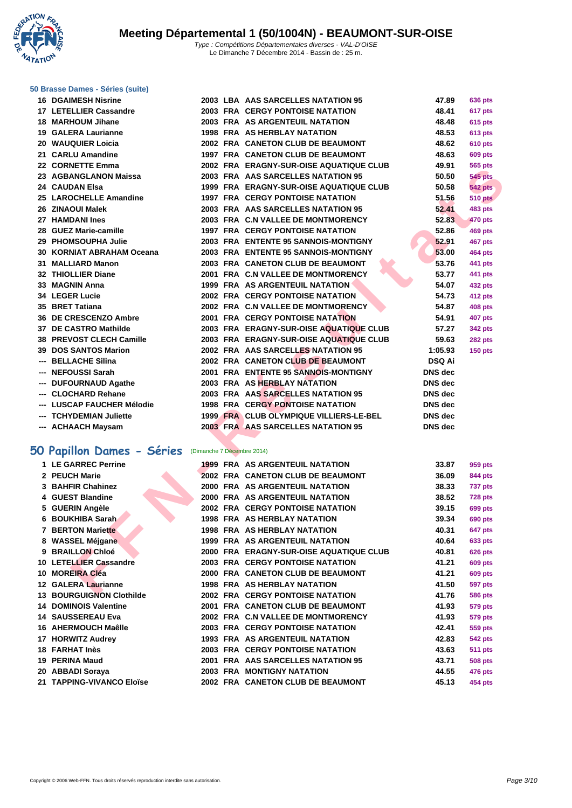**WATATION** 

#### **[50 Brasse](http://www.ffnatation.fr/webffn/index.php) Dames - Séries (suite)**

| <b>16 DGAIMESH Nisrine</b> |                            | 2003 LBA AAS SARCELLES NATATION 95      | 47.89          | <b>636 pts</b> |
|----------------------------|----------------------------|-----------------------------------------|----------------|----------------|
| 17 LETELLIER Cassandre     |                            | 2003 FRA CERGY PONTOISE NATATION        | 48.41          | 617 pts        |
| 18 MARHOUM Jihane          |                            | 2003 FRA AS ARGENTEUIL NATATION         | 48.48          | 615 pts        |
| 19 GALERA Laurianne        |                            | <b>1998 FRA AS HERBLAY NATATION</b>     | 48.53          | <b>613 pts</b> |
| 20 WAUQUIER Loicia         |                            | 2002 FRA CANETON CLUB DE BEAUMONT       | 48.62          | <b>610 pts</b> |
| 21 CARLU Amandine          |                            | 1997 FRA CANETON CLUB DE BEAUMONT       | 48.63          | <b>609 pts</b> |
| 22 CORNETTE Emma           |                            | 2002 FRA ERAGNY-SUR-OISE AQUATIQUE CLUB | 49.91          | 565 pts        |
| 23 AGBANGLANON Maissa      |                            | 2003 FRA AAS SARCELLES NATATION 95      | 50.50          | <b>545 pts</b> |
| 24 CAUDAN Elsa             |                            | 1999 FRA ERAGNY-SUR-OISE AQUATIQUE CLUB | 50.58          | <b>542 pts</b> |
| 25 LAROCHELLE Amandine     |                            | <b>1997 FRA CERGY PONTOISE NATATION</b> | 51.56          | <b>510 pts</b> |
| 26 ZINAOUI Malek           |                            | 2003 FRA AAS SARCELLES NATATION 95      | 52.41          | <b>483 pts</b> |
| 27 HAMDANI Ines            |                            | 2003 FRA C.N VALLEE DE MONTMORENCY      | 52.83          | 470 pts        |
| 28 GUEZ Marie-camille      |                            | <b>1997 FRA CERGY PONTOISE NATATION</b> | 52.86          | <b>469 pts</b> |
| 29 PHOMSOUPHA Julie        |                            | 2003 FRA ENTENTE 95 SANNOIS-MONTIGNY    | 52.91          | 467 pts        |
| 30 KORNIAT ABRAHAM Oceana  |                            | 2003 FRA ENTENTE 95 SANNOIS-MONTIGNY    | 53.00          | 464 pts        |
| 31 MALLIARD Manon          |                            | 2003 FRA CANETON CLUB DE BEAUMONT       | 53.76          | 441 pts        |
| 32 THIOLLIER Diane         |                            | 2001 FRA C.N VALLEE DE MONTMORENCY      | 53.77          | 441 pts        |
| 33 MAGNIN Anna             |                            | 1999 FRA AS ARGENTEUIL NATATION         | 54.07          | 432 pts        |
| 34 LEGER Lucie             |                            | 2002 FRA CERGY PONTOISE NATATION        | 54.73          | 412 pts        |
| 35 BRET Tatiana            |                            | 2002 FRA C.N VALLEE DE MONTMORENCY      | 54.87          | <b>408 pts</b> |
| 36 DE CRESCENZO Ambre      |                            | 2001 FRA CERGY PONTOISE NATATION        | 54.91          | <b>407 pts</b> |
| 37 DE CASTRO Mathilde      |                            | 2003 FRA ERAGNY-SUR-OISE AQUATIQUE CLUB | 57.27          | <b>342 pts</b> |
| 38 PREVOST CLECH Camille   |                            | 2003 FRA ERAGNY-SUR-OISE AQUATIQUE CLUB | 59.63          | <b>282 pts</b> |
| 39 DOS SANTOS Marion       |                            | 2002 FRA AAS SARCELLES NATATION 95      | 1:05.93        | <b>150 pts</b> |
| --- BELLACHE Silina        |                            | 2002 FRA CANETON CLUB DE BEAUMONT       | <b>DSQ Ai</b>  |                |
| --- NEFOUSSI Sarah         |                            | 2001 FRA ENTENTE 95 SANNOIS-MONTIGNY    | <b>DNS</b> dec |                |
| --- DUFOURNAUD Agathe      |                            | 2003 FRA AS HERBLAY NATATION            | <b>DNS</b> dec |                |
| --- CLOCHARD Rehane        |                            | 2003 FRA AAS SARCELLES NATATION 95      | <b>DNS</b> dec |                |
| --- LUSCAP FAUCHER Mélodie |                            | <b>1998 FRA CERGY PONTOISE NATATION</b> | <b>DNS</b> dec |                |
| --- TCHYDEMIAN Juliette    |                            | 1999 FRA CLUB OLYMPIQUE VILLIERS-LE-BEL | <b>DNS</b> dec |                |
| --- ACHAACH Maysam         |                            | 2003 FRA AAS SARCELLES NATATION 95      | DNS dec        |                |
|                            |                            |                                         |                |                |
| 50 Papillon Dames - Séries | (Dimanche 7 Décembre 2014) |                                         |                |                |
| 1 LE GARREC Perrine        |                            | <b>1999 FRA AS ARGENTEUIL NATATION</b>  | 33.87          | 959 pts        |
| 2 PEUCH Marie              |                            | 2002 FRA CANETON CLUB DE BEAUMONT       | 36.09          | 844 pts        |
| 3 BAHFIR Chahinez          |                            | 2000 FRA AS ARGENTEUIL NATATION         | 38.33          | 737 pts        |
| 4 GUEST Blandine           |                            | 2000 FRA AS ARGENTEUIL NATATION         | 38.52          | 728 pts        |
| 5 GUERIN Angèle            |                            | <b>2002 FRA CERGY PONTOISE NATATION</b> | 39.15          | <b>699 pts</b> |
| 6 BOUKHIBA Sarah           |                            | 1998 FRA AS HERBLAY NATATION            | 39.34          | <b>690 pts</b> |
| <b>7 BERTON Mariette</b>   |                            | <b>1998 FRA AS HERBLAY NATATION</b>     | 40.31          | 647 pts        |
| 8 WASSEL Méjgane           |                            | 1999 FRA AS ARGENTEUIL NATATION         | 40.64          | 633 pts        |
| 9 BRAILLON Chloé           |                            | 2000 FRA ERAGNY-SUR-OISE AQUATIQUE CLUB | 40.81          | <b>626 pts</b> |
| 10 LETELLIER Cassandre     |                            | <b>2003 FRA CERGY PONTOISE NATATION</b> | 41.21          | <b>609 pts</b> |
| 10 MOREIRA Cléa            |                            | 2000 FRA CANETON CLUB DE BEAUMONT       | 41.21          | <b>609 pts</b> |
| 12 GALERA Laurianne        |                            | 1998 FRA AS HERBLAY NATATION            | 41.50          | <b>597 pts</b> |
| 49 BOUROURNON CLASSING     | $0.000$ $FDR$              | CERCY BOUTOICE HATATION                 | 11.70          | $FAR = 4$      |

## **50 Papillon Dames - Séries** (Dimanche 7 Décembre 2014)

| 1 LE GARREC Perrine             |      | <b>1999 FRA AS ARGENTEUIL NATATION</b>  | 33.87 | 959 pts        |
|---------------------------------|------|-----------------------------------------|-------|----------------|
| 2 PEUCH Marie                   |      | 2002 FRA CANETON CLUB DE BEAUMONT       | 36.09 | 844 pts        |
| 3 BAHFIR Chahinez               |      | 2000 FRA AS ARGENTEUIL NATATION         | 38.33 | <b>737 pts</b> |
| 4 GUEST Blandine                |      | 2000 FRA AS ARGENTEUIL NATATION         | 38.52 | <b>728 pts</b> |
| 5 GUERIN Angèle                 |      | <b>2002 FRA CERGY PONTOISE NATATION</b> | 39.15 | 699 pts        |
| 6 BOUKHIBA Sarah                |      | <b>1998 FRA AS HERBLAY NATATION</b>     | 39.34 | <b>690 pts</b> |
| 7 BERTON Mariette               |      | <b>1998 FRA AS HERBLAY NATATION</b>     | 40.31 | <b>647 pts</b> |
| 8 WASSEL Méjgane                |      | <b>1999 FRA AS ARGENTEUIL NATATION</b>  | 40.64 | 633 pts        |
| 9 BRAILLON Chloé                |      | 2000 FRA ERAGNY-SUR-OISE AQUATIQUE CLUB | 40.81 | <b>626 pts</b> |
| 10 LETELLIER Cassandre          |      | <b>2003 FRA CERGY PONTOISE NATATION</b> | 41.21 | <b>609 pts</b> |
| 10 MOREIRA Cléa                 |      | 2000 FRA CANETON CLUB DE BEAUMONT       | 41.21 | <b>609 pts</b> |
| 12 GALERA Laurianne             |      | 1998 FRA AS HERBLAY NATATION            | 41.50 | <b>597 pts</b> |
| <b>13 BOURGUIGNON Clothilde</b> |      | <b>2002 FRA CERGY PONTOISE NATATION</b> | 41.76 | <b>586 pts</b> |
| <b>14 DOMINOIS Valentine</b>    |      | 2001 FRA CANETON CLUB DE BEAUMONT       | 41.93 | <b>579 pts</b> |
| 14 SAUSSEREAU Eva               |      | 2002 FRA C.N VALLEE DE MONTMORENCY      | 41.93 | <b>579 pts</b> |
| 16 AHERMOUCH Maêlle             |      | <b>2003 FRA CERGY PONTOISE NATATION</b> | 42.41 | 559 pts        |
| 17 HORWITZ Audrey               |      | <b>1993 FRA AS ARGENTEUIL NATATION</b>  | 42.83 | <b>542 pts</b> |
| 18 FARHAT Inès                  |      | <b>2003 FRA CERGY PONTOISE NATATION</b> | 43.63 | <b>511 pts</b> |
| 19 PERINA Maud                  | 2001 | FRA AAS SARCELLES NATATION 95           | 43.71 | <b>508 pts</b> |
| 20 ABBADI Soraya                |      | <b>2003 FRA MONTIGNY NATATION</b>       | 44.55 | 476 pts        |
| 21 TAPPING-VIVANCO Eloïse       |      | 2002 FRA CANETON CLUB DE BEAUMONT       | 45.13 | 454 pts        |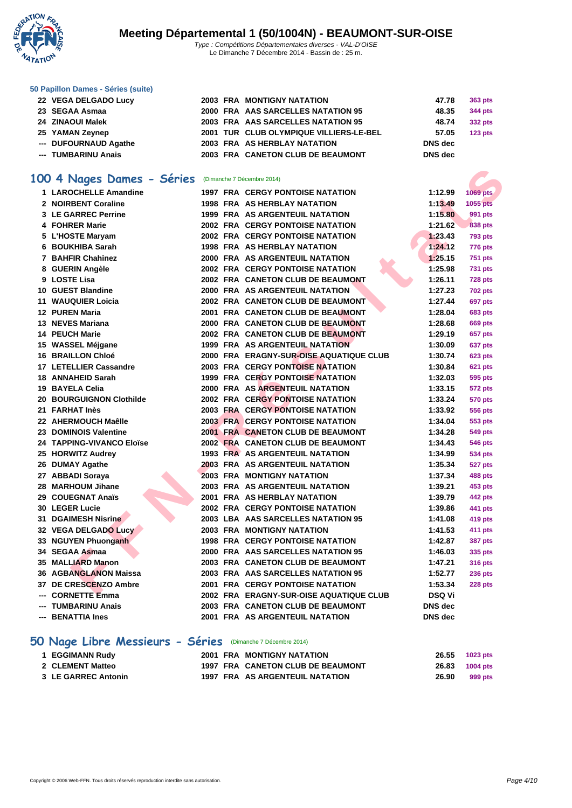

#### Le Dimanche 7 Décembre 2014 - Bassin de : 25 m.

| 50 Papillon Dames - Séries (suite) |  |  |  |  |  |
|------------------------------------|--|--|--|--|--|
|------------------------------------|--|--|--|--|--|

- **22 VEGA DELGADO Lucy 2003 FRA MONTIGNY SEGAA Asmaa 2000 FRA** AAS SARC **24 ZINAOUI Malek 2003 FRA** AAS SARC
- **25 YAMAN Zeynep 2001 TUR CLUB OLY**
- --- **DUFOURNAUD Agathe 2003** FRA AS HERBL
- **--- TUMBARINU Anais 2003 FRA** CANETON
- 

## **100 4 Nages Dames - Séries** (Dimanche 7 Décembre 2014)

| 00 4 Nages Dames - Séries      | (Dimanche 7 Décembre 2014)               |                            |
|--------------------------------|------------------------------------------|----------------------------|
| 1 LAROCHELLE Amandine          | <b>1997 FRA CERGY PONTOISE NATATION</b>  | 1:12.99<br><b>1069 pts</b> |
| 2 NOIRBENT Coraline            | <b>1998 FRA AS HERBLAY NATATION</b>      | 1:13.49<br>1055 pts        |
| 3 LE GARREC Perrine            | <b>1999 FRA AS ARGENTEUIL NATATION</b>   | 1:15.80<br>991 pts         |
| 4 FOHRER Marie                 | <b>2002 FRA CERGY PONTOISE NATATION</b>  | 1:21.62<br><b>838 pts</b>  |
| 5 L'HOSTE Maryam               | <b>2002 FRA CERGY PONTOISE NATATION</b>  | 1:23.43<br><b>793 pts</b>  |
| 6 BOUKHIBA Sarah               | <b>1998 FRA AS HERBLAY NATATION</b>      | 1:24.12<br><b>776 pts</b>  |
| 7 BAHFIR Chahinez              | 2000 FRA AS ARGENTEUIL NATATION          | 1:25.15<br><b>751 pts</b>  |
| 8 GUERIN Angèle                | <b>2002 FRA CERGY PONTOISE NATATION</b>  | 1:25.98<br>731 pts         |
| 9 LOSTE Lisa                   | 2002 FRA CANETON CLUB DE BEAUMONT        | 1:26.11<br><b>728 pts</b>  |
| 10 GUEST Blandine              | 2000 FRA AS ARGENTEUIL NATATION          | 1:27.23<br><b>702 pts</b>  |
| <b>11 WAUQUIER Loicia</b>      | 2002 FRA CANETON CLUB DE BEAUMONT        | 1:27.44<br>697 pts         |
| <b>12 PUREN Maria</b>          | 2001 FRA CANETON CLUB DE BEAUMONT        | 1:28.04<br><b>683 pts</b>  |
| 13 NEVES Mariana               | <b>2000 FRA CANETON CLUB DE BEAUMONT</b> | 1:28.68<br>669 pts         |
| <b>14 PEUCH Marie</b>          | <b>2002 FRA CANETON CLUB DE BEAUMONT</b> | 1:29.19<br>657 pts         |
| 15 WASSEL Méjgane              | <b>1999 FRA AS ARGENTEUIL NATATION</b>   | 1:30.09<br>637 pts         |
| <b>16 BRAILLON Chloé</b>       | 2000 FRA ERAGNY-SUR-OISE AQUATIQUE CLUB  | 1:30.74<br>623 pts         |
| 17 LETELLIER Cassandre         | <b>2003 FRA CERGY PONTOISE NATATION</b>  | 1:30.84<br>621 pts         |
| 18 ANNAHEID Sarah              | <b>1999 FRA CERGY PONTOISE NATATION</b>  | 1:32.03<br>595 pts         |
| 19 BAYELA Celia                | <b>2000 FRA AS ARGENTEUIL NATATION</b>   | 1:33.15<br>572 pts         |
| 20 BOURGUIGNON Clothilde       | <b>2002 FRA CERGY PONTOISE NATATION</b>  | 1:33.24<br>570 pts         |
| 21 FARHAT Inès                 | <b>2003 FRA CERGY PONTOISE NATATION</b>  | 1:33.92<br>556 pts         |
| 22 AHERMOUCH Maêlle            | <b>2003 FRA CERGY PONTOISE NATATION</b>  | 1:34.04<br>553 pts         |
| 23 DOMINOIS Valentine          | 2001 FRA CANETON CLUB DE BEAUMONT        | 1:34.28<br>549 pts         |
| 24 TAPPING-VIVANCO Eloïse      | 2002 FRA CANETON CLUB DE BEAUMONT        | 1:34.43<br>546 pts         |
| 25 HORWITZ Audrey              | <b>1993 FRA AS ARGENTEUIL NATATION</b>   | 1:34.99<br>534 pts         |
| 26 DUMAY Agathe                | <b>2003 FRA AS ARGENTEUIL NATATION</b>   | 1:35.34<br>527 pts         |
| 27 ABBADI Soraya               | 2003 FRA MONTIGNY NATATION               | 1:37.34<br>488 pts         |
| 28 MARHOUM Jihane              | 2003 FRA AS ARGENTEUIL NATATION          | 1:39.21<br>453 pts         |
| 29 COUEGNAT Anaïs              | <b>2001 FRA AS HERBLAY NATATION</b>      | 1:39.79<br>442 pts         |
| 30 LEGER Lucie                 | <b>2002 FRA CERGY PONTOISE NATATION</b>  | 1:39.86<br>441 pts         |
| <b>DGAIMESH Nisrine</b><br>31. | 2003 LBA AAS SARCELLES NATATION 95       | 1:41.08<br>419 pts         |
| 32 VEGA DELGADO Lucy           | 2003 FRA MONTIGNY NATATION               | 1:41.53<br>411 pts         |
| 33 NGUYEN Phuonganh            | <b>1998 FRA CERGY PONTOISE NATATION</b>  | 1:42.87<br>387 pts         |
| 34 SEGAA Asmaa                 | 2000 FRA AAS SARCELLES NATATION 95       | 1:46.03<br>335 pts         |
| 35 MALLIARD Manon              | 2003 FRA CANETON CLUB DE BEAUMONT        | 1:47.21<br><b>316 pts</b>  |
| <b>36 AGBANGLANON Maissa</b>   | 2003 FRA AAS SARCELLES NATATION 95       | 1:52.77<br>236 pts         |
| 37 DE CRESCENZO Ambre          | <b>2001 FRA CERGY PONTOISE NATATION</b>  | 1:53.34<br><b>228 pts</b>  |
| --- CORNETTE Emma              | 2002 FRA ERAGNY-SUR-OISE AQUATIQUE CLUB  | <b>DSQ Vi</b>              |
| --- TUMBARINU Anais            | 2003 FRA CANETON CLUB DE BEAUMONT        | <b>DNS</b> dec             |

**--- BENATTIA Ines 2001 FRA AS ARGENTEUIL NATATION DNS dec**

### **50 Nage Libre Messieurs - Séries** (Dimanche 7 Décembre 2014)

| 1 EGGIMANN Rudy     |  | <b>2001 FRA MONTIGNY NATATION</b> | 26.55          | 1023 pts |
|---------------------|--|-----------------------------------|----------------|----------|
| 2 CLEMENT Matteo    |  | 1997 FRA CANETON CLUB DE BEAUMONT | 26.83 1004 pts |          |
| 3 LE GARREC Antonin |  | 1997 FRA AS ARGENTEUIL NATATION   | 26.90          | 999 pts  |

| <b>NATATION</b>               | 47.78          | 363 pts            |
|-------------------------------|----------------|--------------------|
| <b>ELLES NATATION 95</b>      | 48.35          | 344 pts            |
| <b>ELLES NATATION 95</b>      | 48.74          | 332 pts            |
| <b>MPIQUE VILLIERS-LE-BEL</b> | 57.05          | 123 <sub>pts</sub> |
| AY NATATION                   | <b>DNS</b> dec |                    |
| <b>CLUB DE BEAUMONT</b>       | DNS dec        |                    |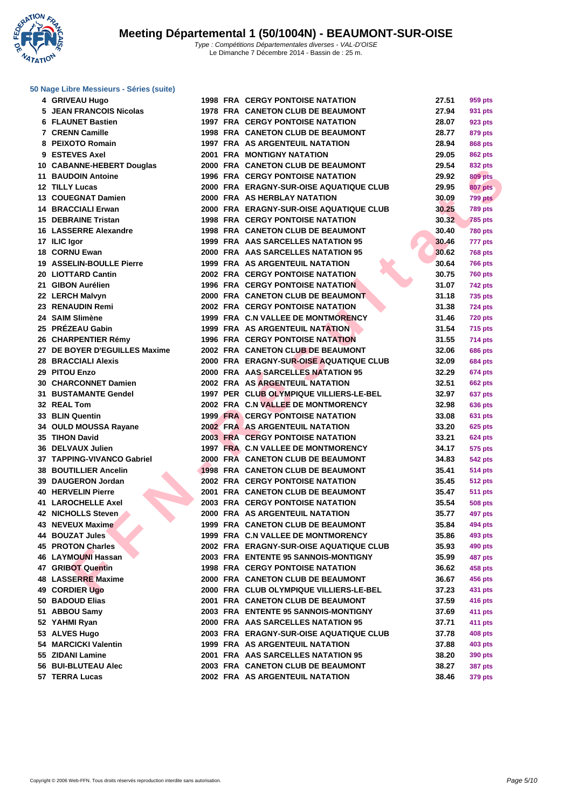**WATATION** .,

# **[50 Nage L](http://www.ffnatation.fr/webffn/index.php)ibre Messieurs - Séries (suite)**

| 4 GRIVEAU Hugo                  |  | <b>1998 FRA CERGY PONTOISE NATATION</b>  | 27.51 | 959 pts        |
|---------------------------------|--|------------------------------------------|-------|----------------|
| 5 JEAN FRANCOIS Nicolas         |  | 1978 FRA CANETON CLUB DE BEAUMONT        | 27.94 | 931 pts        |
| <b>6 FLAUNET Bastien</b>        |  | <b>1997 FRA CERGY PONTOISE NATATION</b>  | 28.07 | 923 pts        |
| 7 CRENN Camille                 |  | <b>1998 FRA CANETON CLUB DE BEAUMONT</b> | 28.77 | 879 pts        |
| 8 PEIXOTO Romain                |  | <b>1997 FRA AS ARGENTEUIL NATATION</b>   | 28.94 | 868 pts        |
| 9 ESTEVES Axel                  |  | <b>2001 FRA MONTIGNY NATATION</b>        | 29.05 | <b>862 pts</b> |
| 10 CABANNE-HEBERT Douglas       |  | 2000 FRA CANETON CLUB DE BEAUMONT        | 29.54 | 832 pts        |
| 11 BAUDOIN Antoine              |  | <b>1996 FRA CERGY PONTOISE NATATION</b>  | 29.92 | <b>809 pts</b> |
| 12 TILLY Lucas                  |  | 2000 FRA ERAGNY-SUR-OISE AQUATIQUE CLUB  | 29.95 | <b>807 pts</b> |
| 13 COUEGNAT Damien              |  | 2000 FRA AS HERBLAY NATATION             | 30.09 | 799 pts        |
| 14 BRACCIALI Erwan              |  | 2000 FRA ERAGNY-SUR-OISE AQUATIQUE CLUB  | 30.25 | <b>789 pts</b> |
| <b>15 DEBRAINE Tristan</b>      |  | <b>1998 FRA CERGY PONTOISE NATATION</b>  | 30.32 | <b>785 pts</b> |
| 16 LASSERRE Alexandre           |  | 1998 FRA CANETON CLUB DE BEAUMONT        | 30.40 | <b>780 pts</b> |
| 17 ILIC Igor                    |  | 1999 FRA AAS SARCELLES NATATION 95       | 30.46 | 777 pts        |
| 18 CORNU Ewan                   |  | 2000 FRA AAS SARCELLES NATATION 95       | 30.62 | <b>768 pts</b> |
| <b>19 ASSELIN-BOULLE Pierre</b> |  | 1999 FRA AS ARGENTEUIL NATATION          | 30.64 | <b>766 pts</b> |
| 20 LIOTTARD Cantin              |  | <b>2002 FRA CERGY PONTOISE NATATION</b>  | 30.75 | <b>760 pts</b> |
| 21 GIBON Aurélien               |  | <b>1996 FRA CERGY PONTOISE NATATION</b>  | 31.07 | 742 pts        |
| 22 LERCH Malvyn                 |  | 2000 FRA CANETON CLUB DE BEAUMONT        | 31.18 | <b>735 pts</b> |
| 23 RENAUDIN Remi                |  | <b>2002 FRA CERGY PONTOISE NATATION</b>  | 31.38 | <b>724 pts</b> |
| 24 SAIM Slimène                 |  | 1999 FRA C.N VALLEE DE MONTMORENCY       | 31.46 | <b>720 pts</b> |
| 25 PRÉZEAU Gabin                |  | 1999 FRA AS ARGENTEUIL NATATION          | 31.54 | <b>715 pts</b> |
| 26 CHARPENTIER Rémy             |  | <b>1996 FRA CERGY PONTOISE NATATION</b>  | 31.55 | <b>714 pts</b> |
| 27 DE BOYER D'EGUILLES Maxime   |  | 2002 FRA CANETON CLUB DE BEAUMONT        | 32.06 | <b>686 pts</b> |
| <b>28 BRACCIALI Alexis</b>      |  | 2000 FRA ERAGNY-SUR-OISE AQUATIQUE CLUB  | 32.09 | <b>684 pts</b> |
| 29 PITOU Enzo                   |  | 2000 FRA AAS SARCELLES NATATION 95       | 32.29 | <b>674 pts</b> |
| 30 CHARCONNET Damien            |  | 2002 FRA AS ARGENTEUIL NATATION          | 32.51 | <b>662 pts</b> |
| <b>31 BUSTAMANTE Gendel</b>     |  | 1997 PER CLUB OLYMPIQUE VILLIERS-LE-BEL  | 32.97 | 637 pts        |
| <b>32 REAL Tom</b>              |  | 2002 FRA C.N VALLEE DE MONTMORENCY       | 32.98 | <b>636 pts</b> |
| 33 BLIN Quentin                 |  | <b>1999 FRA CERGY PONTOISE NATATION</b>  | 33.08 | 631 pts        |
| 34 OULD MOUSSA Rayane           |  | 2002 FRA AS ARGENTEUIL NATATION          | 33.20 | <b>625 pts</b> |
| 35 TIHON David                  |  | <b>2003 FRA CERGY PONTOISE NATATION</b>  | 33.21 | <b>624 pts</b> |
| <b>36 DELVAUX Julien</b>        |  | 1997 FRA C.N VALLEE DE MONTMORENCY       | 34.17 | 575 pts        |
| 37 TAPPING-VIVANCO Gabriel      |  | 2000 FRA CANETON CLUB DE BEAUMONT        | 34.83 | <b>542 pts</b> |
| 38 BOUTILLIER Ancelin           |  | 1998 FRA CANETON CLUB DE BEAUMONT        | 35.41 | <b>514 pts</b> |
| 39 DAUGERON Jordan              |  | <b>2002 FRA CERGY PONTOISE NATATION</b>  | 35.45 | <b>512 pts</b> |
| <b>40 HERVELIN Pierre</b>       |  | 2001 FRA CANETON CLUB DE BEAUMONT        | 35.47 | <b>511 pts</b> |
| 41 LAROCHELLE Axel              |  | <b>2003 FRA CERGY PONTOISE NATATION</b>  | 35.54 | <b>508 pts</b> |
| 42 NICHOLLS Steven.             |  | 2000 FRA AS ARGENTEUIL NATATION          | 35.77 | 497 pts        |
| 43 NEVEUX Maxime                |  | 1999 FRA CANETON CLUB DE BEAUMONT        | 35.84 | <b>494 pts</b> |
| 44 BOUZAT Jules                 |  | 1999 FRA C.N VALLEE DE MONTMORENCY       | 35.86 | 493 pts        |
| 45 PROTON Charles               |  | 2002 FRA ERAGNY-SUR-OISE AQUATIQUE CLUB  | 35.93 | 490 pts        |
| 46   LAYMOUNI Hassan            |  | 2003 FRA ENTENTE 95 SANNOIS-MONTIGNY     | 35.99 | <b>487 pts</b> |
| 47 GRIBOT Quentin               |  | <b>1998 FRA CERGY PONTOISE NATATION</b>  | 36.62 | 458 pts        |
| 48 LASSERRE Maxime              |  | 2000 FRA CANETON CLUB DE BEAUMONT        | 36.67 | 456 pts        |
| 49 CORDIER Ugo                  |  | 2000 FRA CLUB OLYMPIQUE VILLIERS-LE-BEL  | 37.23 | 431 pts        |
| 50 BADOUD Elias                 |  | 2001 FRA CANETON CLUB DE BEAUMONT        | 37.59 | 416 pts        |
| 51 ABBOU Samy                   |  | 2003 FRA ENTENTE 95 SANNOIS-MONTIGNY     | 37.69 | 411 pts        |
| 52 YAHMI Ryan                   |  | 2000 FRA AAS SARCELLES NATATION 95       | 37.71 | <b>411 pts</b> |
| 53 ALVES Hugo                   |  | 2003 FRA ERAGNY-SUR-OISE AQUATIQUE CLUB  | 37.78 | <b>408 pts</b> |
| 54 MARCICKI Valentin            |  | 1999 FRA AS ARGENTEUIL NATATION          | 37.88 | 403 pts        |
| 55 ZIDANI Lamine                |  | 2001 FRA AAS SARCELLES NATATION 95       | 38.20 | 390 pts        |
| 56 BUI-BLUTEAU Alec             |  | 2003 FRA CANETON CLUB DE BEAUMONT        | 38.27 | <b>387 pts</b> |
| 57 TERRA Lucas                  |  | 2002 FRA AS ARGENTEUIL NATATION          | 38.46 | 379 pts        |
|                                 |  |                                          |       |                |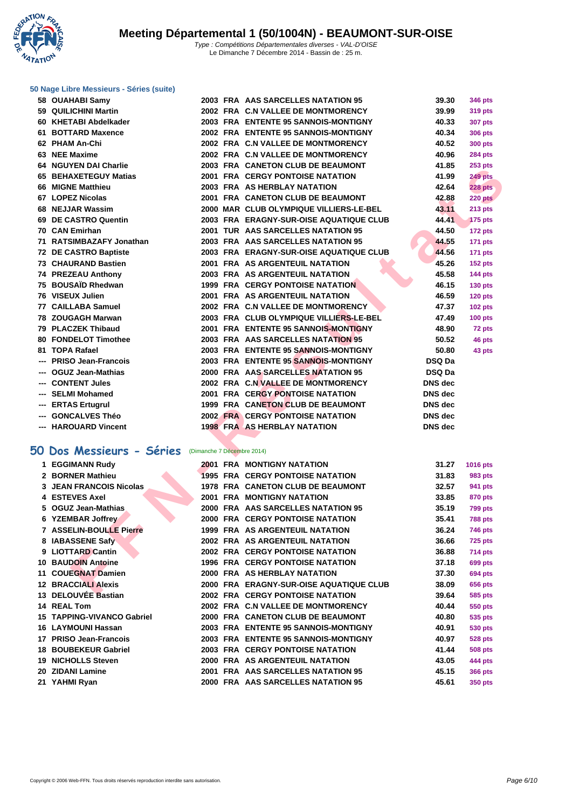**WATATION**  $^{\prime}$ 

#### **[50 Nage L](http://www.ffnatation.fr/webffn/index.php)ibre Messieurs - Séries (suite)**

| 58 OUAHABI Samy                                                                        |                            | 2003 FRA AAS SARCELLES NATATION 95       | 39.30          | <b>346 pts</b> |
|----------------------------------------------------------------------------------------|----------------------------|------------------------------------------|----------------|----------------|
| 59 QUILICHINI Martin                                                                   |                            | 2002 FRA C.N VALLEE DE MONTMORENCY       | 39.99          | 319 pts        |
| 60 KHETABI Abdelkader                                                                  |                            | 2003 FRA ENTENTE 95 SANNOIS-MONTIGNY     | 40.33          | <b>307 pts</b> |
| 61 BOTTARD Maxence                                                                     |                            | 2002 FRA ENTENTE 95 SANNOIS-MONTIGNY     | 40.34          | <b>306 pts</b> |
| 62 PHAM An-Chi                                                                         |                            | 2002 FRA C.N VALLEE DE MONTMORENCY       | 40.52          | <b>300 pts</b> |
| 63 NEE Maxime                                                                          |                            | 2002 FRA C.N VALLEE DE MONTMORENCY       | 40.96          | <b>284 pts</b> |
| 64 NGUYEN DAI Charlie                                                                  |                            | 2003 FRA CANETON CLUB DE BEAUMONT        | 41.85          | <b>253 pts</b> |
| 65 BEHAXETEGUY Matias                                                                  |                            | <b>2001 FRA CERGY PONTOISE NATATION</b>  | 41.99          | 249 pts        |
| 66 MIGNE Matthieu                                                                      |                            | <b>2003 FRA AS HERBLAY NATATION</b>      | 42.64          | <b>228 pts</b> |
| 67 LOPEZ Nicolas                                                                       |                            | 2001 FRA CANETON CLUB DE BEAUMONT        | 42.88          | 220 pts        |
| 68 NEJJAR Wassim                                                                       |                            | 2000 MAR CLUB OLYMPIQUE VILLIERS-LE-BEL  | 43.11          | 213 pts        |
| 69 DE CASTRO Quentin                                                                   |                            | 2003 FRA ERAGNY-SUR-OISE AQUATIQUE CLUB  | 44.41          | <b>175 pts</b> |
| 70 CAN Emirhan                                                                         |                            | 2001 TUR AAS SARCELLES NATATION 95       | 44.50          | 172 pts        |
| 71 RATSIMBAZAFY Jonathan                                                               |                            | 2003 FRA AAS SARCELLES NATATION 95       | 44.55          | <b>171 pts</b> |
| 72 DE CASTRO Baptiste                                                                  |                            | 2003 FRA ERAGNY-SUR-OISE AQUATIQUE CLUB  | 44.56          | 171 pts        |
| 73 CHAURAND Bastien                                                                    |                            | 2001 FRA AS ARGENTEUIL NATATION          | 45.26          | <b>152 pts</b> |
| 74 PREZEAU Anthony                                                                     |                            | 2003 FRA AS ARGENTEUIL NATATION          | 45.58          | 144 pts        |
| 75 BOUSAÏD Rhedwan                                                                     |                            | <b>1999 FRA CERGY PONTOISE NATATION</b>  | 46.15          | <b>130 pts</b> |
| 76 VISEUX Julien                                                                       |                            | 2001 FRA AS ARGENTEUIL NATATION          | 46.59          | 120 pts        |
| 77 CAILLABA Samuel                                                                     |                            | 2002 FRA C.N VALLEE DE MONTMORENCY       | 47.37          | <b>102 pts</b> |
| 78 ZOUGAGH Marwan                                                                      |                            | 2003 FRA CLUB OLYMPIQUE VILLIERS-LE-BEL  | 47.49          | <b>100 pts</b> |
| 79 PLACZEK Thibaud                                                                     |                            | 2001 FRA ENTENTE 95 SANNOIS-MONTIGNY     | 48.90          | 72 pts         |
| 80 FONDELOT Timothee                                                                   |                            | 2003 FRA AAS SARCELLES NATATION 95       | 50.52          | 46 pts         |
| 81 TOPA Rafael                                                                         |                            | 2003 FRA ENTENTE 95 SANNOIS-MONTIGNY     | 50.80          | 43 pts         |
| --- PRISO Jean-Francois                                                                |                            | 2003 FRA ENTENTE 95 SANNOIS-MONTIGNY     | <b>DSQ Da</b>  |                |
| --- OGUZ Jean-Mathias                                                                  |                            | 2000 FRA AAS SARCELLES NATATION 95       | <b>DSQ Da</b>  |                |
| --- CONTENT Jules                                                                      |                            | 2002 FRA C.N VALLEE DE MONTMORENCY       | <b>DNS</b> dec |                |
| --- SELMI Mohamed                                                                      |                            | <b>2001 FRA CERGY PONTOISE NATATION</b>  | <b>DNS</b> dec |                |
| --- ERTAS Ertugrul                                                                     |                            | 1999 FRA CANETON CLUB DE BEAUMONT        | <b>DNS</b> dec |                |
| --- GONCALVES Théo                                                                     |                            | <b>2002 FRA CERGY PONTOISE NATATION</b>  | <b>DNS</b> dec |                |
| --- HAROUARD Vincent                                                                   |                            | <b>1998 FRA AS HERBLAY NATATION</b>      | <b>DNS</b> dec |                |
|                                                                                        |                            |                                          |                |                |
| 0 Dos Messieurs - Séries                                                               | (Dimanche 7 Décembre 2014) |                                          |                |                |
| 1 EGGIMANN Rudy                                                                        |                            | <b>2001 FRA MONTIGNY NATATION</b>        | 31.27          | 1016 pts       |
| 2 BORNER Mathieu                                                                       |                            | <b>1995 FRA CERGY PONTOISE NATATION</b>  | 31.83          | 983 pts        |
| <b>3 JEAN FRANCOIS Nicolas</b>                                                         |                            | <b>1978 FRA CANETON CLUB DE BEAUMONT</b> | 32.57          | 941 pts        |
| 4 ESTEVES Axel                                                                         |                            | 2001 FRA MONTIGNY NATATION               | 33.85          | 870 pts        |
| 5 OGUZ Jean-Mathias                                                                    |                            | 2000 FRA AAS SARCELLES NATATION 95       | 35.19          | <b>799 pts</b> |
| 6 YZEMBAR Joffrey                                                                      |                            | <b>2000 FRA CERGY PONTOISE NATATION</b>  | 35.41          | <b>788 pts</b> |
| 7 ASSELIN-BOULLE Pierre                                                                |                            | 1999 FRA AS ARGENTEUIL NATATION          | 36.24          | <b>746 pts</b> |
| 8 IABASSENE Safy                                                                       |                            | 2002 FRA AS ARGENTEUIL NATATION          | 36.66          | 725 pts        |
| 9 LIOTTARD Cantin                                                                      |                            | <b>2002 FRA CERGY PONTOISE NATATION</b>  | 36.88          | <b>714 pts</b> |
| 10 BAUDOIN Antoine                                                                     |                            | <b>1996 FRA CERGY PONTOISE NATATION</b>  | 37.18          | <b>699 pts</b> |
| 11 COUEGNAT Damien                                                                     |                            | 2000 FRA AS HERBLAY NATATION             | 37.30          | <b>694 pts</b> |
| <b>12 BRACCIALI Alexis</b>                                                             |                            | 2000 FRA ERAGNY-SUR-OISE AQUATIQUE CLUB  | 38.09          | <b>656 pts</b> |
| $\overline{A}$ of $\overline{A}$ of $\overline{B}$ of $\overline{B}$ of $\overline{B}$ | $0.000$ FD $\lambda$       | <b>CERCY BOUTOICE HATATION</b>           | 20.04          | <b>FOR ALL</b> |

### **50 Dos Messieurs - Séries** (Dimanche 7 Décembre 2014)

| 1 EGGIMANN Rudy                   | 2001 | <b>FRA MONTIGNY NATATION</b>            | 31.27 | 1016 pts       |
|-----------------------------------|------|-----------------------------------------|-------|----------------|
| 2 BORNER Mathieu                  |      | <b>1995 FRA CERGY PONTOISE NATATION</b> | 31.83 | 983 pts        |
| <b>3 JEAN FRANCOIS Nicolas</b>    |      | 1978 FRA CANETON CLUB DE BEAUMONT       | 32.57 | 941 pts        |
| 4 ESTEVES Axel                    | 2001 | <b>FRA MONTIGNY NATATION</b>            | 33.85 | <b>870 pts</b> |
| 5 OGUZ Jean-Mathias               |      | 2000 FRA AAS SARCELLES NATATION 95      | 35.19 | <b>799 pts</b> |
| 6 YZEMBAR Joffrey                 |      | <b>2000 FRA CERGY PONTOISE NATATION</b> | 35.41 | <b>788 pts</b> |
| 7 ASSELIN-BOULLE Pierre           |      | <b>1999 FRA AS ARGENTEUIL NATATION</b>  | 36.24 | <b>746 pts</b> |
| 8 IABASSENE Safy                  |      | 2002 FRA AS ARGENTEUIL NATATION         | 36.66 | <b>725 pts</b> |
| 9 LIOTTARD Cantin                 |      | <b>2002 FRA CERGY PONTOISE NATATION</b> | 36.88 | 714 pts        |
| <b>10 BAUDOIN Antoine</b>         |      | <b>1996 FRA CERGY PONTOISE NATATION</b> | 37.18 | <b>699 pts</b> |
| 11 COUEGNAT Damien                |      | 2000 FRA AS HERBLAY NATATION            | 37.30 | <b>694 pts</b> |
| <b>12 BRACCIALI Alexis</b>        |      | 2000 FRA ERAGNY-SUR-OISE AQUATIQUE CLUB | 38.09 | <b>656 pts</b> |
| 13 DELOUVÉE Bastian               |      | <b>2002 FRA CERGY PONTOISE NATATION</b> | 39.64 | 585 pts        |
| 14 REAL Tom                       |      | 2002 FRA C.N VALLEE DE MONTMORENCY      | 40.44 | <b>550 pts</b> |
| <b>15 TAPPING-VIVANCO Gabriel</b> |      | 2000 FRA CANETON CLUB DE BEAUMONT       | 40.80 | 535 pts        |
| 16 LAYMOUNI Hassan                |      | 2003 FRA ENTENTE 95 SANNOIS-MONTIGNY    | 40.91 | 530 pts        |
| 17 PRISO Jean-Francois            |      | 2003 FRA ENTENTE 95 SANNOIS-MONTIGNY    | 40.97 | <b>528 pts</b> |
| <b>18 BOUBEKEUR Gabriel</b>       |      | <b>2003 FRA CERGY PONTOISE NATATION</b> | 41.44 | <b>508 pts</b> |
| 19 NICHOLLS Steven                | 2000 | <b>FRA AS ARGENTEUIL NATATION</b>       | 43.05 | 444 pts        |
| 20 ZIDANI Lamine                  | 2001 | <b>FRA AAS SARCELLES NATATION 95</b>    | 45.15 | <b>366 pts</b> |
| 21 YAHMI Ryan                     |      | 2000 FRA AAS SARCELLES NATATION 95      | 45.61 | 350 pts        |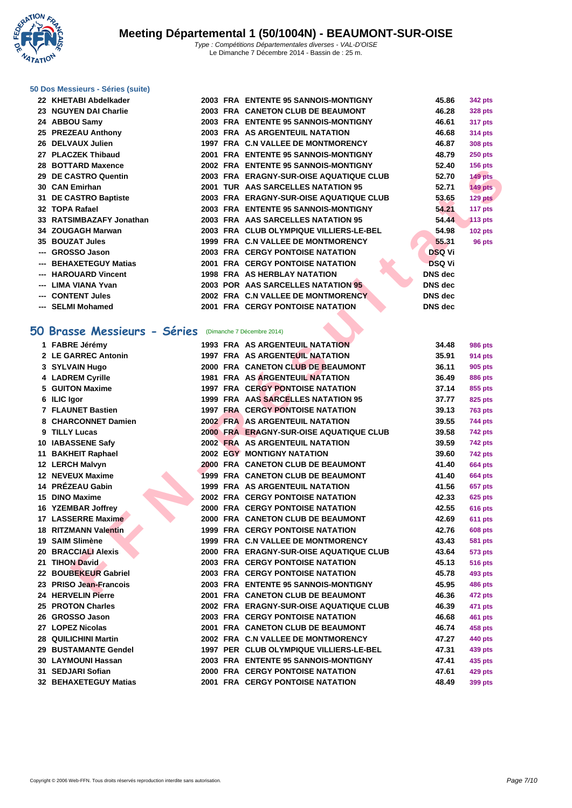**WATATION**  $^{\prime}$ 

#### **[50 Dos M](http://www.ffnatation.fr/webffn/index.php)essieurs - Séries (suite)**

| 22 KHETABI Abdelkader    |  | 2003 FRA ENTENTE 95 SANNOIS-MONTIGNY    | 45.86          | 342 pts        |
|--------------------------|--|-----------------------------------------|----------------|----------------|
| 23 NGUYEN DAI Charlie    |  | 2003 FRA CANETON CLUB DE BEAUMONT       | 46.28          | <b>328 pts</b> |
| 24 ABBOU Samy            |  | 2003 FRA ENTENTE 95 SANNOIS-MONTIGNY    | 46.61          | <b>317 pts</b> |
| 25 PREZEAU Anthony       |  | 2003 FRA AS ARGENTEUIL NATATION         | 46.68          | 314 pts        |
| 26 DELVAUX Julien        |  | 1997 FRA C.N VALLEE DE MONTMORENCY      | 46.87          | <b>308 pts</b> |
| 27 PLACZEK Thibaud       |  | 2001 FRA ENTENTE 95 SANNOIS-MONTIGNY    | 48.79          | $250$ pts      |
| 28 BOTTARD Maxence       |  | 2002 FRA ENTENTE 95 SANNOIS-MONTIGNY    | 52.40          | $156$ pts      |
| 29 DE CASTRO Quentin     |  | 2003 FRA ERAGNY-SUR-OISE AQUATIQUE CLUB | 52.70          | $149$ pts      |
| 30 CAN Emirhan           |  | 2001 TUR AAS SARCELLES NATATION 95      | 52.71          | <b>149 pts</b> |
| 31 DE CASTRO Baptiste    |  | 2003 FRA ERAGNY-SUR-OISE AQUATIQUE CLUB | 53.65          | 129 pts        |
| 32   TOPA Rafael         |  | 2003 FRA ENTENTE 95 SANNOIS-MONTIGNY    | 54.21          | 117 pts        |
| 33 RATSIMBAZAFY Jonathan |  | 2003 FRA AAS SARCELLES NATATION 95      | 54.44          | 113 pts        |
| 34 ZOUGAGH Marwan        |  | 2003 FRA CLUB OLYMPIQUE VILLIERS-LE-BEL | 54.98          | $102$ pts      |
| <b>35 BOUZAT Jules</b>   |  | 1999 FRA C.N VALLEE DE MONTMORENCY      | 55.31          | 96 pts         |
| --- GROSSO Jason         |  | <b>2003 FRA CERGY PONTOISE NATATION</b> | <b>DSQ Vi</b>  |                |
| --- BEHAXETEGUY Matias   |  | <b>2001 FRA CERGY PONTOISE NATATION</b> | <b>DSQ Vi</b>  |                |
| --- HAROUARD Vincent     |  | <b>1998 FRA AS HERBLAY NATATION</b>     | <b>DNS</b> dec |                |
| --- LIMA VIANA Yvan      |  | 2003 POR AAS SARCELLES NATATION 95      | <b>DNS</b> dec |                |
| --- CONTENT Jules        |  | 2002 FRA C.N VALLEE DE MONTMORENCY      | <b>DNS</b> dec |                |
| --- SELMI Mohamed        |  | <b>2001 FRA CERGY PONTOISE NATATION</b> | <b>DNS</b> dec |                |

### **50 Brasse Messieurs - Séries** (Dimanche 7 Décembre 2014)

| ZU DUITAND MAACHU                                      |  |                                          | JL TU          | <b>I</b> July 19 |
|--------------------------------------------------------|--|------------------------------------------|----------------|------------------|
| 29 DE CASTRO Quentin                                   |  | 2003 FRA ERAGNY-SUR-OISE AQUATIQUE CLUB  | 52.70          | 149 pts          |
| 30 CAN Emirhan                                         |  | 2001 TUR AAS SARCELLES NATATION 95       | 52.71          | <b>149 pts</b>   |
| <b>31 DE CASTRO Baptiste</b>                           |  | 2003 FRA ERAGNY-SUR-OISE AQUATIQUE CLUB  | 53.65          | 129 pts          |
| 32 TOPA Rafael                                         |  | 2003 FRA ENTENTE 95 SANNOIS-MONTIGNY     | 54.21          | 117 pts          |
| 33 RATSIMBAZAFY Jonathan                               |  | 2003 FRA AAS SARCELLES NATATION 95       | 54.44          | <b>113 pts</b>   |
| 34 ZOUGAGH Marwan                                      |  | 2003 FRA CLUB OLYMPIQUE VILLIERS-LE-BEL  | 54.98          | <b>102 pts</b>   |
| <b>35 BOUZAT Jules</b>                                 |  | 1999 FRA C.N VALLEE DE MONTMORENCY       | 55.31          | 96 pts           |
| --- GROSSO Jason                                       |  | <b>2003 FRA CERGY PONTOISE NATATION</b>  | <b>DSQ Vi</b>  |                  |
| --- BEHAXETEGUY Matias                                 |  | <b>2001 FRA CERGY PONTOISE NATATION</b>  | <b>DSQ Vi</b>  |                  |
| --- HAROUARD Vincent                                   |  | <b>1998 FRA AS HERBLAY NATATION</b>      | <b>DNS</b> dec |                  |
| --- LIMA VIANA Yvan                                    |  | 2003 POR AAS SARCELLES NATATION 95       | <b>DNS</b> dec |                  |
| --- CONTENT Jules                                      |  | 2002 FRA C.N VALLEE DE MONTMORENCY       | <b>DNS</b> dec |                  |
| --- SELMI Mohamed                                      |  | <b>2001 FRA CERGY PONTOISE NATATION</b>  | <b>DNS</b> dec |                  |
|                                                        |  |                                          |                |                  |
| O Brasse Messieurs - Séries (Dimanche 7 Décembre 2014) |  |                                          |                |                  |
| 1 FABRE Jérémy                                         |  | <b>1993 FRA AS ARGENTEUIL NATATION</b>   | 34.48          | <b>986 pts</b>   |
| 2 LE GARREC Antonin                                    |  | <b>1997 FRA AS ARGENTEUIL NATATION</b>   | 35.91          | 914 pts          |
| 3 SYLVAIN Hugo                                         |  | 2000 FRA CANETON CLUB DE BEAUMONT        | 36.11          | 905 pts          |
| 4 LADREM Cyrille                                       |  | 1981 FRA AS ARGENTEUIL NATATION          | 36.49          | 886 pts          |
| <b>5 GUITON Maxime</b>                                 |  | <b>1997 FRA CERGY PONTOISE NATATION</b>  | 37.14          | 855 pts          |
| 6 ILIC Igor                                            |  | 1999 FRA AAS SARCELLES NATATION 95       | 37.77          | 825 pts          |
| <b>7 FLAUNET Bastien</b>                               |  | <b>1997 FRA CERGY PONTOISE NATATION</b>  | 39.13          | <b>763 pts</b>   |
| 8 CHARCONNET Damien                                    |  | 2002 FRA AS ARGENTEUIL NATATION          | 39.55          | <b>744 pts</b>   |
| 9 TILLY Lucas                                          |  | 2000 FRA ERAGNY-SUR-OISE AQUATIQUE CLUB  | 39.58          | <b>742 pts</b>   |
| 10 IABASSENE Safy                                      |  | 2002 FRA AS ARGENTEUIL NATATION          | 39.59          | <b>742 pts</b>   |
| 11 BAKHEIT Raphael                                     |  | <b>2002 EGY MONTIGNY NATATION</b>        | 39.60          | <b>742 pts</b>   |
| 12 LERCH Malvyn                                        |  | <b>2000 FRA CANETON CLUB DE BEAUMONT</b> | 41.40          | <b>664 pts</b>   |
| 12 NEVEUX Maxime                                       |  | 1999 FRA CANETON CLUB DE BEAUMONT        | 41.40          | <b>664 pts</b>   |
| 14 PRÉZEAU Gabin                                       |  | 1999 FRA AS ARGENTEUIL NATATION          | 41.56          | <b>657 pts</b>   |
| 15 DINO Maxime                                         |  | <b>2002 FRA CERGY PONTOISE NATATION</b>  | 42.33          | <b>625 pts</b>   |
| 16 YZEMBAR Joffrey                                     |  | <b>2000 FRA CERGY PONTOISE NATATION</b>  | 42.55          | <b>616 pts</b>   |
| 17 LASSERRE Maxime                                     |  | 2000 FRA CANETON CLUB DE BEAUMONT        | 42.69          | <b>611 pts</b>   |
| 18 RITZMANN Valentin                                   |  | <b>1999 FRA CERGY PONTOISE NATATION</b>  | 42.76          | <b>608 pts</b>   |
| 19 SAIM Slimène                                        |  | 1999 FRA C.N VALLEE DE MONTMORENCY       | 43.43          | <b>581 pts</b>   |
| <b>20 BRACCIALI Alexis</b>                             |  | 2000 FRA ERAGNY-SUR-OISE AQUATIQUE CLUB  | 43.64          | 573 pts          |
| 21 TIHON David                                         |  | <b>2003 FRA CERGY PONTOISE NATATION</b>  | 45.13          | <b>516 pts</b>   |
| 22 BOUBEKEUR Gabriel                                   |  | <b>2003 FRA CERGY PONTOISE NATATION</b>  | 45.78          | <b>493 pts</b>   |
| 23 PRISO Jean-Francois                                 |  | 2003 FRA ENTENTE 95 SANNOIS-MONTIGNY     | 45.95          | <b>486 pts</b>   |
| 24 HERVELIN Pierre                                     |  | 2001 FRA CANETON CLUB DE BEAUMONT        | 46.36          | 472 pts          |
| 25 PROTON Charles                                      |  | 2002 FRA ERAGNY-SUR-OISE AQUATIQUE CLUB  | 46.39          | 471 pts          |
| 26 GROSSO Jason                                        |  | <b>2003 FRA CERGY PONTOISE NATATION</b>  | 46.68          | <b>461 pts</b>   |
| 27 LOPEZ Nicolas                                       |  | 2001 FRA CANETON CLUB DE BEAUMONT        | 46.74          | 458 pts          |
| 28 QUILICHINI Martin                                   |  | 2002 FRA C.N VALLEE DE MONTMORENCY       | 47.27          | 440 pts          |
| 29 BUSTAMANTE Gendel                                   |  | 1997 PER CLUB OLYMPIQUE VILLIERS-LE-BEL  | 47.31          | 439 pts          |
| 30 LAYMOUNI Hassan                                     |  | 2003 FRA ENTENTE 95 SANNOIS-MONTIGNY     | 47.41          | 435 pts          |
| 31 SEDJARI Sofian                                      |  | <b>2000 FRA CERGY PONTOISE NATATION</b>  | 47.61          | <b>429 pts</b>   |
| 32 BEHAXETEGUY Matias                                  |  | <b>2001 FRA CERGY PONTOISE NATATION</b>  | 48.49          | 399 pts          |
|                                                        |  |                                          |                |                  |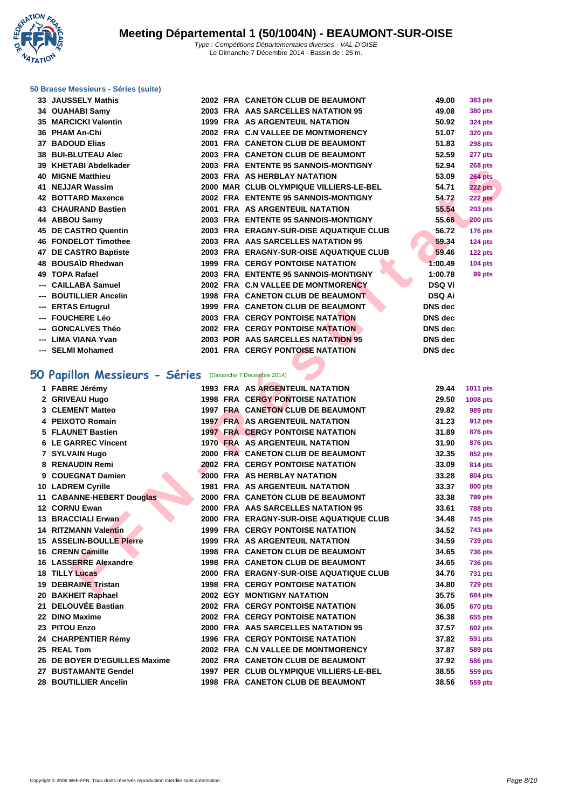**WATATION**  $^{\prime}$ 

## **[50 Brasse](http://www.ffnatation.fr/webffn/index.php) Messieurs - Séries (suite)**

|     | 33 JAUSSELY Mathis          |  | 2002 FRA CANETON CLUB DE BEAUMONT       | 49.00          | <b>383 pts</b> |
|-----|-----------------------------|--|-----------------------------------------|----------------|----------------|
|     | 34 OUAHABI Samy             |  | 2003 FRA AAS SARCELLES NATATION 95      | 49.08          | <b>380 pts</b> |
|     | <b>35 MARCICKI Valentin</b> |  | <b>1999 FRA AS ARGENTEUIL NATATION</b>  | 50.92          | <b>324 pts</b> |
|     | 36 PHAM An-Chi              |  | 2002 FRA C.N VALLEE DE MONTMORENCY      | 51.07          | <b>320 pts</b> |
|     | 37 BADOUD Elias             |  | 2001 FRA CANETON CLUB DE BEAUMONT       | 51.83          | 298 pts        |
|     | 38 BUI-BLUTEAU Alec         |  | 2003 FRA CANETON CLUB DE BEAUMONT       | 52.59          | 277 pts        |
|     | 39 KHETABI Abdelkader       |  | 2003 FRA ENTENTE 95 SANNOIS-MONTIGNY    | 52.94          | 268 pts        |
|     | <b>40 MIGNE Matthieu</b>    |  | 2003 FRA AS HERBLAY NATATION            | 53.09          | <b>264 pts</b> |
|     | 41 NEJJAR Wassim            |  | 2000 MAR CLUB OLYMPIQUE VILLIERS-LE-BEL | 54.71          | 222 pts        |
|     | <b>42 BOTTARD Maxence</b>   |  | 2002 FRA ENTENTE 95 SANNOIS-MONTIGNY    | 54.72          | 222 pts        |
|     | <b>43 CHAURAND Bastien</b>  |  | 2001 FRA AS ARGENTEUIL NATATION         | 55.54          | <b>203 pts</b> |
|     | 44 ABBOU Samy               |  | 2003 FRA ENTENTE 95 SANNOIS-MONTIGNY    | 55.66          | <b>200 pts</b> |
|     | 45 DE CASTRO Quentin        |  | 2003 FRA ERAGNY-SUR-OISE AQUATIQUE CLUB | 56.72          | 176 pts        |
|     | <b>46 FONDELOT Timothee</b> |  | 2003 FRA AAS SARCELLES NATATION 95      | 59.34          | 124 pts        |
|     | 47 DE CASTRO Baptiste       |  | 2003 FRA ERAGNY-SUR-OISE AQUATIQUE CLUB | 59.46          | 122 pts        |
|     | 48 BOUSAID Rhedwan          |  | <b>1999 FRA CERGY PONTOISE NATATION</b> | 1:00.49        | <b>104 pts</b> |
|     | 49 TOPA Rafael              |  | 2003 FRA ENTENTE 95 SANNOIS-MONTIGNY    | 1:00.78        | 99 pts         |
|     | <b>CAILLABA Samuel</b>      |  | 2002 FRA C.N VALLEE DE MONTMORENCY      | <b>DSQ Vi</b>  |                |
| --- | <b>BOUTILLIER Ancelin</b>   |  | 1998 FRA CANETON CLUB DE BEAUMONT       | <b>DSQ Ai</b>  |                |
| --- | <b>ERTAS Ertugrul</b>       |  | 1999 FRA CANETON CLUB DE BEAUMONT       | <b>DNS</b> dec |                |
| --- | <b>FOUCHERE Léo</b>         |  | <b>2003 FRA CERGY PONTOISE NATATION</b> | <b>DNS</b> dec |                |
|     | <b>GONCALVES Théo</b>       |  | <b>2002 FRA CERGY PONTOISE NATATION</b> | DNS dec        |                |
| --- | LIMA VIANA Yvan             |  | 2003 POR AAS SARCELLES NATATION 95      | <b>DNS</b> dec |                |
|     | --- SELMI Mohamed           |  | 2001 FRA CERGY PONTOISE NATATION        | <b>DNS</b> dec |                |
|     |                             |  |                                         |                |                |

# **50 Papillon Messieurs - Séries** (Dimanche 7 Décembre 2014)

|                                                          |  |                                         | JL J-1         | zuo pis        |
|----------------------------------------------------------|--|-----------------------------------------|----------------|----------------|
| 40 MIGNE Matthieu                                        |  | <b>2003 FRA AS HERBLAY NATATION</b>     | 53.09          | <b>264 pts</b> |
| 41 NEJJAR Wassim                                         |  | 2000 MAR CLUB OLYMPIQUE VILLIERS-LE-BEL | 54.71          | 222 pts        |
| 42 BOTTARD Maxence                                       |  | 2002 FRA ENTENTE 95 SANNOIS-MONTIGNY    | 54.72          | 222 pts        |
| 43 CHAURAND Bastien                                      |  | <b>2001 FRA AS ARGENTEUIL NATATION</b>  | 55.54          | <b>203 pts</b> |
| 44 ABBOU Samv                                            |  | 2003 FRA ENTENTE 95 SANNOIS-MONTIGNY    | 55.66          | <b>200 pts</b> |
| <b>45 DE CASTRO Quentin</b>                              |  | 2003 FRA ERAGNY-SUR-OISE AQUATIQUE CLUB | 56.72          | <b>176 pts</b> |
| <b>46 FONDELOT Timothee</b>                              |  | 2003 FRA AAS SARCELLES NATATION 95      | 59.34          | <b>124 pts</b> |
| 47 DE CASTRO Baptiste                                    |  | 2003 FRA ERAGNY-SUR-OISE AQUATIQUE CLUB | 59.46          | <b>122 pts</b> |
| 48 BOUSAÏD Rhedwan                                       |  | <b>1999 FRA CERGY PONTOISE NATATION</b> | 1:00.49        | <b>104 pts</b> |
| 49 TOPA Rafael                                           |  | 2003 FRA ENTENTE 95 SANNOIS-MONTIGNY    | 1:00.78        | 99 pts         |
| --- CAILLABA Samuel                                      |  | 2002 FRA C.N VALLEE DE MONTMORENCY      | <b>DSQ Vi</b>  |                |
| --- BOUTILLIER Ancelin                                   |  | 1998 FRA CANETON CLUB DE BEAUMONT       | DSQ Ai         |                |
| --- ERTAS Ertugrul                                       |  | 1999 FRA CANETON CLUB DE BEAUMONT       | DNS dec        |                |
| --- FOUCHERE Léo                                         |  | <b>2003 FRA CERGY PONTOISE NATATION</b> | <b>DNS</b> dec |                |
| --- GONCALVES Théo                                       |  | <b>2002 FRA CERGY PONTOISE NATATION</b> | <b>DNS</b> dec |                |
| --- LIMA VIANA Yvan                                      |  | 2003 POR AAS SARCELLES NATATION 95      | DNS dec        |                |
| --- SELMI Mohamed                                        |  | <b>2001 FRA CERGY PONTOISE NATATION</b> | DNS dec        |                |
|                                                          |  |                                         |                |                |
| O Papillon Messieurs - Séries (Dimanche 7 Décembre 2014) |  |                                         |                |                |
| 1 FABRE Jérémy                                           |  | <b>1993 FRA AS ARGENTEUIL NATATION</b>  | 29.44          | 1011 pts       |
| 2 GRIVEAU Hugo                                           |  | <b>1998 FRA CERGY PONTOISE NATATION</b> | 29.50          | 1008 pts       |
| 3 CLEMENT Matteo                                         |  | 1997 FRA CANETON CLUB DE BEAUMONT       | 29.82          | <b>989 pts</b> |
| 4 PEIXOTO Romain                                         |  | <b>1997 FRA AS ARGENTEUIL NATATION</b>  | 31.23          | <b>912 pts</b> |
| 5 FLAUNET Bastien                                        |  | <b>1997 FRA CERGY PONTOISE NATATION</b> | 31.89          | 876 pts        |
| <b>6 LE GARREC Vincent</b>                               |  | 1970 FRA AS ARGENTEUIL NATATION         | 31.90          | 876 pts        |
| 7 SYLVAIN Hugo                                           |  | 2000 FRA CANETON CLUB DE BEAUMONT       | 32.35          | <b>852 pts</b> |
| 8 RENAUDIN Remi                                          |  | <b>2002 FRA CERGY PONTOISE NATATION</b> | 33.09          | 814 pts        |
| 9 COUEGNAT Damien                                        |  | 2000 FRA AS HERBLAY NATATION            | 33.28          | 804 pts        |
| 10 LADREM Cyrille                                        |  | <b>1981 FRA AS ARGENTEUIL NATATION</b>  | 33.37          | <b>800 pts</b> |
| 11 CABANNE-HEBERT Douglas                                |  | 2000 FRA CANETON CLUB DE BEAUMONT       | 33.38          | <b>799 pts</b> |
| 12 CORNU Ewan                                            |  | 2000 FRA AAS SARCELLES NATATION 95      | 33.61          | <b>788 pts</b> |
| <b>13 BRACCIALI Erwan</b>                                |  | 2000 FRA ERAGNY-SUR-OISE AQUATIQUE CLUB | 34.48          | 745 pts        |
| 14 RITZMANN Valentin                                     |  | <b>1999 FRA CERGY PONTOISE NATATION</b> | 34.52          | 743 pts        |
| <b>15 ASSELIN-BOULLE Pierre</b>                          |  | <b>1999 FRA AS ARGENTEUIL NATATION</b>  | 34.59          | <b>739 pts</b> |
| 16 CRENN Camille                                         |  | 1998 FRA CANETON CLUB DE BEAUMONT       | 34.65          | <b>736 pts</b> |
| 16 LASSERRE Alexandre                                    |  | 1998 FRA CANETON CLUB DE BEAUMONT       | 34.65          | <b>736 pts</b> |
| <b>18 TILLY Lucas</b>                                    |  | 2000 FRA ERAGNY-SUR-OISE AQUATIQUE CLUB | 34.76          | <b>731 pts</b> |
| 19 DEBRAINE Tristan                                      |  | 1998 FRA CERGY PONTOISE NATATION        | 34.80          | <b>729 pts</b> |
| 20 BAKHEIT Raphael                                       |  | <b>2002 EGY MONTIGNY NATATION</b>       | 35.75          | 684 pts        |
| 21 DELOUVÉE Bastian                                      |  | <b>2002 FRA CERGY PONTOISE NATATION</b> | 36.05          | <b>670 pts</b> |
| 22 DINO Maxime                                           |  | <b>2002 FRA CERGY PONTOISE NATATION</b> | 36.38          | 655 pts        |
| 23 PITOU Enzo                                            |  | 2000 FRA AAS SARCELLES NATATION 95      | 37.57          | <b>602 pts</b> |
| 24 CHARPENTIER Rémy                                      |  | <b>1996 FRA CERGY PONTOISE NATATION</b> | 37.82          | <b>591 pts</b> |
| 25 REAL Tom                                              |  | 2002 FRA C.N VALLEE DE MONTMORENCY      | 37.87          | <b>589 pts</b> |
| 26 DE BOYER D'EGUILLES Maxime                            |  | 2002 FRA CANETON CLUB DE BEAUMONT       | 37.92          | <b>586 pts</b> |
| 27 BUSTAMANTE Gendel                                     |  | 1997 PER CLUB OLYMPIQUE VILLIERS-LE-BEL | 38.55          | 559 pts        |
| 28 BOUTILLIER Ancelin                                    |  | 1998 FRA CANETON CLUB DE BEAUMONT       | 38.56          | 559 pts        |
|                                                          |  |                                         |                |                |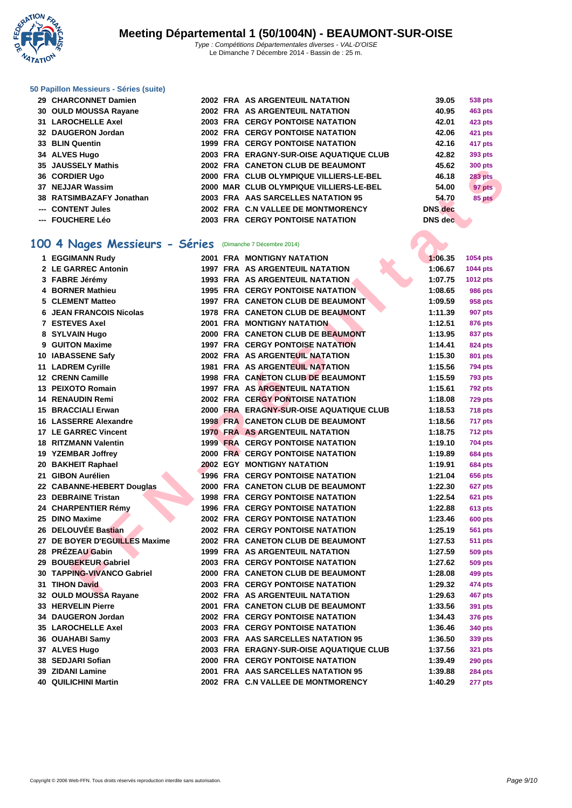

# **[50 Papillo](http://www.ffnatation.fr/webffn/index.php)n Messieurs - Séries (suite)**

| 29 CHARCONNET Damien     |  | 2002 FRA AS ARGENTEUIL NATATION         | 39.05          | 538 pts        |
|--------------------------|--|-----------------------------------------|----------------|----------------|
| 30 OULD MOUSSA Rayane    |  | 2002 FRA AS ARGENTEUIL NATATION         | 40.95          | 463 pts        |
| 31 LAROCHELLE Axel       |  | <b>2003 FRA CERGY PONTOISE NATATION</b> | 42.01          | <b>423 pts</b> |
| 32 DAUGERON Jordan       |  | <b>2002 FRA CERGY PONTOISE NATATION</b> | 42.06          | 421 pts        |
| 33 BLIN Quentin          |  | <b>1999 FRA CERGY PONTOISE NATATION</b> | 42.16          | 417 pts        |
| 34 ALVES Hugo            |  | 2003 FRA ERAGNY-SUR-OISE AQUATIQUE CLUB | 42.82          | 393 pts        |
| 35 JAUSSELY Mathis       |  | 2002 FRA CANETON CLUB DE BEAUMONT       | 45.62          | <b>300 pts</b> |
| 36 CORDIER Ugo           |  | 2000 FRA CLUB OLYMPIQUE VILLIERS-LE-BEL | 46.18          | <b>283 pts</b> |
| 37 NEJJAR Wassim         |  | 2000 MAR CLUB OLYMPIQUE VILLIERS-LE-BEL | 54.00          | 97 pts         |
| 38 RATSIMBAZAFY Jonathan |  | 2003 FRA AAS SARCELLES NATATION 95      | 54.70          | 85 pts         |
| --- CONTENT Jules        |  | 2002 FRA C.N VALLEE DE MONTMORENCY      | <b>DNS</b> dec |                |
| --- FOUCHERE Léo         |  | <b>2003 FRA CERGY PONTOISE NATATION</b> | DNS dec        |                |
|                          |  |                                         |                |                |

## **100 4 Nages Messieurs - Séries** (Dimanche 7 Décembre 2014)

| UNUJULLI MAUNJ                 |  |                                          |                | ວບບ µເຣ        |
|--------------------------------|--|------------------------------------------|----------------|----------------|
| 36 CORDIER Ugo                 |  | 2000 FRA CLUB OLYMPIQUE VILLIERS-LE-BEL  | 46.18          | 283 pts        |
| 37 NEJJAR Wassim               |  | 2000 MAR CLUB OLYMPIQUE VILLIERS-LE-BEL  | 54.00          | 97 pts         |
| 38 RATSIMBAZAFY Jonathan       |  | 2003 FRA AAS SARCELLES NATATION 95       | 54.70          | 85 pts         |
| --- CONTENT Jules              |  | 2002 FRA C.N VALLEE DE MONTMORENCY       | <b>DNS</b> dec |                |
| --- FOUCHERE Léo               |  | <b>2003 FRA CERGY PONTOISE NATATION</b>  | <b>DNS</b> dec |                |
|                                |  |                                          |                |                |
|                                |  |                                          |                |                |
| 00 4 Nages Messieurs - Séries  |  | (Dimanche 7 Décembre 2014)               |                |                |
| 1 EGGIMANN Rudy                |  | <b>2001 FRA MONTIGNY NATATION</b>        | 1:06.35        | 1054 pts       |
| 2 LE GARREC Antonin            |  | <b>1997 FRA AS ARGENTEUIL NATATION</b>   | 1:06.67        | 1044 pts       |
| 3 FABRE Jérémy                 |  | <b>1993 FRA AS ARGENTEUIL NATATION</b>   | 1:07.75        | 1012 pts       |
| 4 BORNER Mathieu               |  | <b>1995 FRA CERGY PONTOISE NATATION</b>  | 1:08.65        | <b>986 pts</b> |
| 5 CLEMENT Matteo               |  | 1997 FRA CANETON CLUB DE BEAUMONT        | 1:09.59        | 958 pts        |
| <b>6 JEAN FRANCOIS Nicolas</b> |  | 1978 FRA CANETON CLUB DE BEAUMONT        | 1:11.39        | <b>907 pts</b> |
| <b>7 ESTEVES Axel</b>          |  | <b>2001 FRA MONTIGNY NATATION</b>        | 1:12.51        | 876 pts        |
| 8 SYLVAIN Hugo                 |  | 2000 FRA CANETON CLUB DE BEAUMONT        | 1:13.95        | 837 pts        |
| 9 GUITON Maxime                |  | <b>1997 FRA CERGY PONTOISE NATATION</b>  | 1:14.41        | 824 pts        |
| 10 IABASSENE Safv              |  | 2002 FRA AS ARGENTEUIL NATATION          | 1:15.30        | 801 pts        |
| 11 LADREM Cyrille              |  | <b>1981 FRA AS ARGENTEUIL NATATION</b>   | 1:15.56        | <b>794 pts</b> |
| 12 CRENN Camille               |  | 1998 FRA CANETON CLUB DE BEAUMONT        | 1:15.59        | <b>793 pts</b> |
| 13 PEIXOTO Romain              |  | <b>1997 FRA AS ARGENTEUIL NATATION</b>   | 1:15.61        | <b>792 pts</b> |
| <b>14 RENAUDIN Remi</b>        |  | <b>2002 FRA CERGY PONTOISE NATATION</b>  | 1:18.08        | <b>729 pts</b> |
| <b>15 BRACCIALI Erwan</b>      |  | 2000 FRA ERAGNY-SUR-OISE AQUATIQUE CLUB  | 1:18.53        | <b>718 pts</b> |
| 16 LASSERRE Alexandre          |  | <b>1998 FRA CANETON CLUB DE BEAUMONT</b> | 1:18.56        | 717 pts        |
| <b>17 LE GARREC Vincent</b>    |  | <b>1970 FRA AS ARGENTEUIL NATATION</b>   | 1:18.75        | <b>712 pts</b> |
| <b>18 RITZMANN Valentin</b>    |  | <b>1999 FRA CERGY PONTOISE NATATION</b>  | 1:19.10        |                |
|                                |  |                                          |                | <b>704 pts</b> |
| 19 YZEMBAR Joffrey             |  | <b>2000 FRA CERGY PONTOISE NATATION</b>  | 1:19.89        | <b>684 pts</b> |
| 20 BAKHEIT Raphael             |  | <b>2002 EGY MONTIGNY NATATION</b>        | 1:19.91        | <b>684 pts</b> |
| 21 GIBON Aurélien              |  | <b>1996 FRA CERGY PONTOISE NATATION</b>  | 1:21.04        | 656 pts        |
| 22 CABANNE-HEBERT Douglas      |  | 2000 FRA CANETON CLUB DE BEAUMONT        | 1:22.30        | 627 pts        |
| 23 DEBRAINE Tristan            |  | <b>1998 FRA CERGY PONTOISE NATATION</b>  | 1:22.54        | <b>621 pts</b> |
| 24 CHARPENTIER Rémy            |  | <b>1996 FRA CERGY PONTOISE NATATION</b>  | 1:22.88        | <b>613 pts</b> |
| 25 DINO Maxime                 |  | <b>2002 FRA CERGY PONTOISE NATATION</b>  | 1:23.46        | <b>600 pts</b> |
| 26 DELOUVÉE Bastian            |  | <b>2002 FRA CERGY PONTOISE NATATION</b>  | 1:25.19        | <b>561 pts</b> |
| 27 DE BOYER D'EGUILLES Maxime  |  | 2002 FRA CANETON CLUB DE BEAUMONT        | 1:27.53        | <b>511 pts</b> |
| 28 PRÉZEAU Gabin               |  | <b>1999 FRA AS ARGENTEUIL NATATION</b>   | 1:27.59        | 509 pts        |
| 29 BOUBEKEUR Gabriel           |  | <b>2003 FRA CERGY PONTOISE NATATION</b>  | 1:27.62        | 509 pts        |
| 30 TAPPING-VIVANCO Gabriel     |  | 2000 FRA CANETON CLUB DE BEAUMONT        | 1:28.08        | 499 pts        |
| 31 TIHON David                 |  | 2003 FRA CERGY PONTOISE NATATION         | 1:29.32        | 474 pts        |
| 32 OULD MOUSSA Rayane          |  | 2002 FRA AS ARGENTEUIL NATATION          | 1:29.63        | 467 pts        |
| 33 HERVELIN Pierre             |  | 2001 FRA CANETON CLUB DE BEAUMONT        | 1:33.56        | 391 pts        |
| 34 DAUGERON Jordan             |  | <b>2002 FRA CERGY PONTOISE NATATION</b>  | 1:34.43        | <b>376 pts</b> |
| 35 LAROCHELLE Axel             |  | <b>2003 FRA CERGY PONTOISE NATATION</b>  | 1:36.46        | 340 pts        |
| 36 OUAHABI Samy                |  | 2003 FRA AAS SARCELLES NATATION 95       | 1:36.50        | 339 pts        |
| 37 ALVES Hugo                  |  | 2003 FRA ERAGNY-SUR-OISE AQUATIQUE CLUB  | 1:37.56        | <b>321 pts</b> |
| 38 SEDJARI Sofian              |  | <b>2000 FRA CERGY PONTOISE NATATION</b>  | 1:39.49        | <b>290 pts</b> |
| 39 ZIDANI Lamine               |  | 2001 FRA AAS SARCELLES NATATION 95       | 1:39.88        | <b>284 pts</b> |
| <b>40 QUILICHINI Martin</b>    |  | 2002 FRA C.N VALLEE DE MONTMORENCY       | 1:40.29        | 277 pts        |
|                                |  |                                          |                |                |